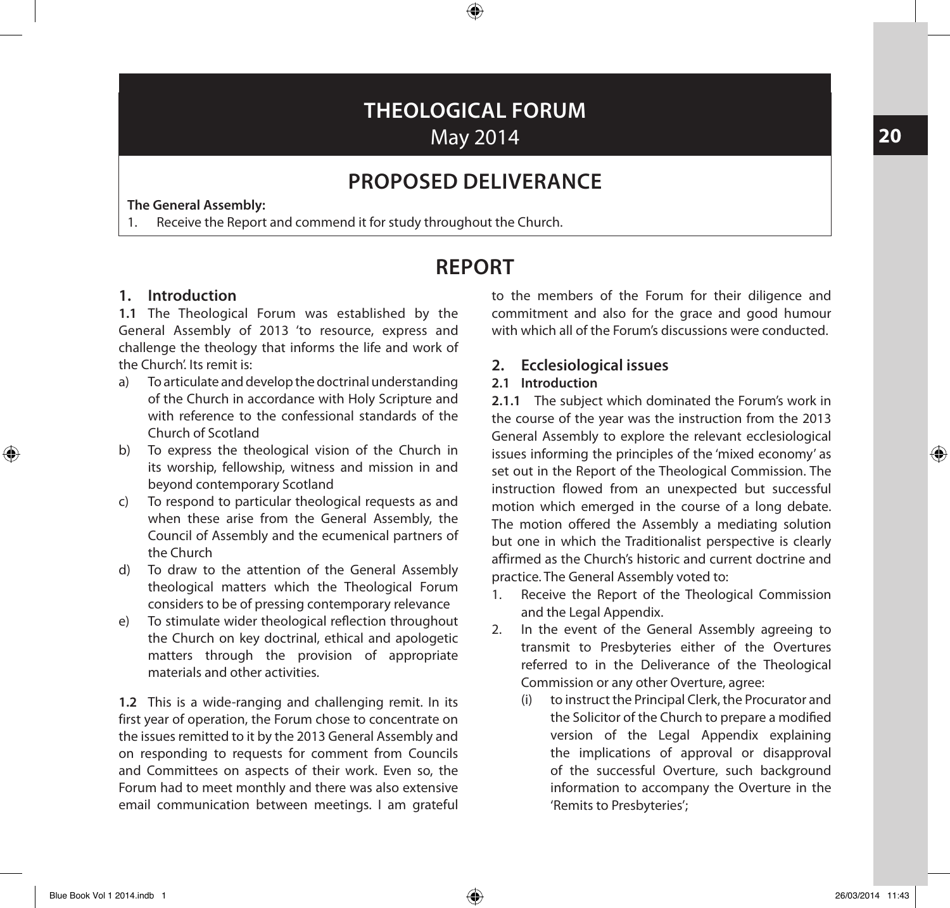# **THEOLOGICAL FORUM** May 2014

⊕

## **PROPOSED DELIVERANCE**

**The General Assembly:**

1. Receive the Report and commend it for study throughout the Church.

## **REPORT**

## **1. Introduction**

**1.1** The Theological Forum was established by the General Assembly of 2013 'to resource, express and challenge the theology that informs the life and work of the Church'. Its remit is:

- a) To articulate and develop the doctrinal understanding of the Church in accordance with Holy Scripture and with reference to the confessional standards of the Church of Scotland
- b) To express the theological vision of the Church in its worship, fellowship, witness and mission in and beyond contemporary Scotland
- c) To respond to particular theological requests as and when these arise from the General Assembly, the Council of Assembly and the ecumenical partners of the Church
- d) To draw to the attention of the General Assembly theological matters which the Theological Forum considers to be of pressing contemporary relevance
- e) To stimulate wider theological reflection throughout the Church on key doctrinal, ethical and apologetic matters through the provision of appropriate materials and other activities.

**1.2** This is a wide-ranging and challenging remit. In its first year of operation, the Forum chose to concentrate on the issues remitted to it by the 2013 General Assembly and on responding to requests for comment from Councils and Committees on aspects of their work. Even so, the Forum had to meet monthly and there was also extensive email communication between meetings. I am grateful

to the members of the Forum for their diligence and commitment and also for the grace and good humour with which all of the Forum's discussions were conducted.

## **2. Ecclesiological issues**

### **2.1 Introduction**

**2.1.1** The subject which dominated the Forum's work in the course of the year was the instruction from the 2013 General Assembly to explore the relevant ecclesiological issues informing the principles of the 'mixed economy' as set out in the Report of the Theological Commission. The instruction flowed from an unexpected but successful motion which emerged in the course of a long debate. The motion offered the Assembly a mediating solution but one in which the Traditionalist perspective is clearly affirmed as the Church's historic and current doctrine and practice. The General Assembly voted to:

- 1. Receive the Report of the Theological Commission and the Legal Appendix.
- 2. In the event of the General Assembly agreeing to transmit to Presbyteries either of the Overtures referred to in the Deliverance of the Theological Commission or any other Overture, agree:
	- (i) to instruct the Principal Clerk, the Procurator and the Solicitor of the Church to prepare a modified version of the Legal Appendix explaining the implications of approval or disapproval of the successful Overture, such background information to accompany the Overture in the 'Remits to Presbyteries';

**20**

 $\bigoplus$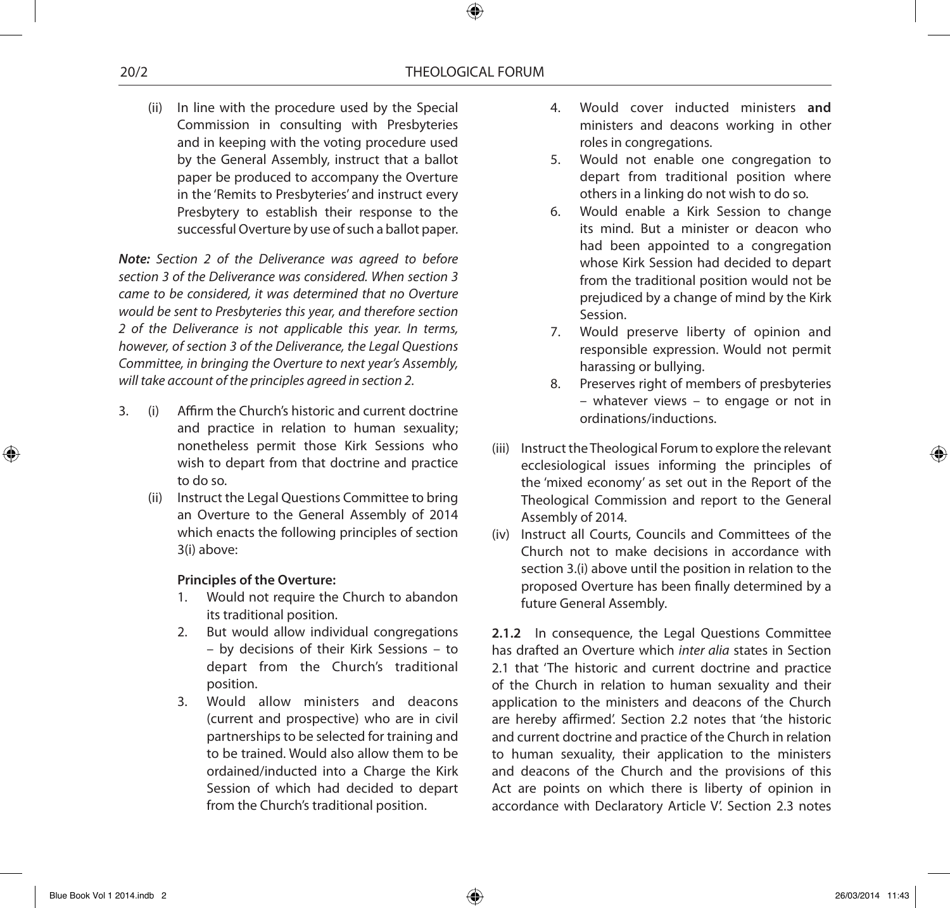(ii) In line with the procedure used by the Special Commission in consulting with Presbyteries and in keeping with the voting procedure used by the General Assembly, instruct that a ballot paper be produced to accompany the Overture in the 'Remits to Presbyteries' and instruct every Presbytery to establish their response to the successful Overture by use of such a ballot paper.

*Note: Section 2 of the Deliverance was agreed to before section 3 of the Deliverance was considered. When section 3 came to be considered, it was determined that no Overture would be sent to Presbyteries this year, and therefore section 2 of the Deliverance is not applicable this year. In terms, however, of section 3 of the Deliverance, the Legal Questions Committee, in bringing the Overture to next year's Assembly, will take account of the principles agreed in section 2.*

- 3. (i) Affirm the Church's historic and current doctrine and practice in relation to human sexuality; nonetheless permit those Kirk Sessions who wish to depart from that doctrine and practice to do so.
	- (ii) Instruct the Legal Questions Committee to bring an Overture to the General Assembly of 2014 which enacts the following principles of section 3(i) above:

#### **Principles of the Overture:**

- 1. Would not require the Church to abandon its traditional position.
- 2. But would allow individual congregations – by decisions of their Kirk Sessions – to depart from the Church's traditional position.
- 3. Would allow ministers and deacons (current and prospective) who are in civil partnerships to be selected for training and to be trained. Would also allow them to be ordained/inducted into a Charge the Kirk Session of which had decided to depart from the Church's traditional position.
- 4. Would cover inducted ministers **and**  ministers and deacons working in other roles in congregations.
- 5. Would not enable one congregation to depart from traditional position where others in a linking do not wish to do so.
- 6. Would enable a Kirk Session to change its mind. But a minister or deacon who had been appointed to a congregation whose Kirk Session had decided to depart from the traditional position would not be prejudiced by a change of mind by the Kirk Session.
- 7. Would preserve liberty of opinion and responsible expression. Would not permit harassing or bullying.
- 8. Preserves right of members of presbyteries – whatever views – to engage or not in ordinations/inductions.
- (iii) Instruct the Theological Forum to explore the relevant ecclesiological issues informing the principles of the 'mixed economy' as set out in the Report of the Theological Commission and report to the General Assembly of 2014.
- (iv) Instruct all Courts, Councils and Committees of the Church not to make decisions in accordance with section 3.(i) above until the position in relation to the proposed Overture has been finally determined by a future General Assembly.

**2.1.2** In consequence, the Legal Questions Committee has drafted an Overture which *inter alia* states in Section 2.1 that 'The historic and current doctrine and practice of the Church in relation to human sexuality and their application to the ministers and deacons of the Church are hereby affirmed'. Section 2.2 notes that 'the historic and current doctrine and practice of the Church in relation to human sexuality, their application to the ministers and deacons of the Church and the provisions of this Act are points on which there is liberty of opinion in accordance with Declaratory Article V'. Section 2.3 notes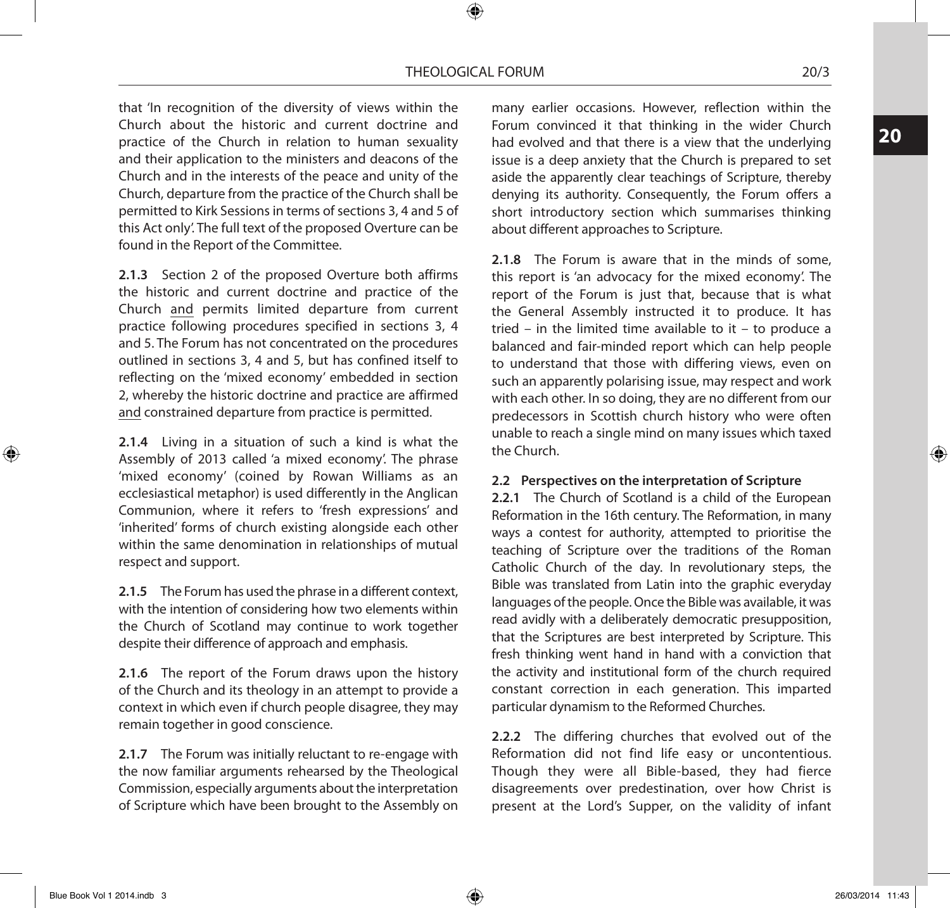#### THEOLOGICAL FORUM 20/3

⊕

that 'In recognition of the diversity of views within the Church about the historic and current doctrine and practice of the Church in relation to human sexuality and their application to the ministers and deacons of the Church and in the interests of the peace and unity of the Church, departure from the practice of the Church shall be permitted to Kirk Sessions in terms of sections 3, 4 and 5 of this Act only'. The full text of the proposed Overture can be found in the Report of the Committee.

**2.1.3** Section 2 of the proposed Overture both affirms the historic and current doctrine and practice of the Church and permits limited departure from current practice following procedures specified in sections 3, 4 and 5. The Forum has not concentrated on the procedures outlined in sections 3, 4 and 5, but has confined itself to reflecting on the 'mixed economy' embedded in section 2, whereby the historic doctrine and practice are affirmed and constrained departure from practice is permitted.

**2.1.4** Living in a situation of such a kind is what the Assembly of 2013 called 'a mixed economy'. The phrase 'mixed economy' (coined by Rowan Williams as an ecclesiastical metaphor) is used differently in the Anglican Communion, where it refers to 'fresh expressions' and 'inherited' forms of church existing alongside each other within the same denomination in relationships of mutual respect and support.

**2.1.5** The Forum has used the phrase in a different context, with the intention of considering how two elements within the Church of Scotland may continue to work together despite their difference of approach and emphasis.

**2.1.6** The report of the Forum draws upon the history of the Church and its theology in an attempt to provide a context in which even if church people disagree, they may remain together in good conscience.

**2.1.7** The Forum was initially reluctant to re-engage with the now familiar arguments rehearsed by the Theological Commission, especially arguments about the interpretation of Scripture which have been brought to the Assembly on

many earlier occasions. However, reflection within the Forum convinced it that thinking in the wider Church had evolved and that there is a view that the underlying issue is a deep anxiety that the Church is prepared to set aside the apparently clear teachings of Scripture, thereby denying its authority. Consequently, the Forum offers a short introductory section which summarises thinking about different approaches to Scripture.

**2.1.8** The Forum is aware that in the minds of some, this report is 'an advocacy for the mixed economy'. The report of the Forum is just that, because that is what the General Assembly instructed it to produce. It has tried – in the limited time available to it – to produce a balanced and fair-minded report which can help people to understand that those with differing views, even on such an apparently polarising issue, may respect and work with each other. In so doing, they are no different from our predecessors in Scottish church history who were often unable to reach a single mind on many issues which taxed the Church.

#### **2.2 Perspectives on the interpretation of Scripture**

**2.2.1** The Church of Scotland is a child of the European Reformation in the 16th century. The Reformation, in many ways a contest for authority, attempted to prioritise the teaching of Scripture over the traditions of the Roman Catholic Church of the day. In revolutionary steps, the Bible was translated from Latin into the graphic everyday languages of the people. Once the Bible was available, it was read avidly with a deliberately democratic presupposition, that the Scriptures are best interpreted by Scripture. This fresh thinking went hand in hand with a conviction that the activity and institutional form of the church required constant correction in each generation. This imparted particular dynamism to the Reformed Churches.

**2.2.2** The differing churches that evolved out of the Reformation did not find life easy or uncontentious. Though they were all Bible-based, they had fierce disagreements over predestination, over how Christ is present at the Lord's Supper, on the validity of infant

⊕

**20**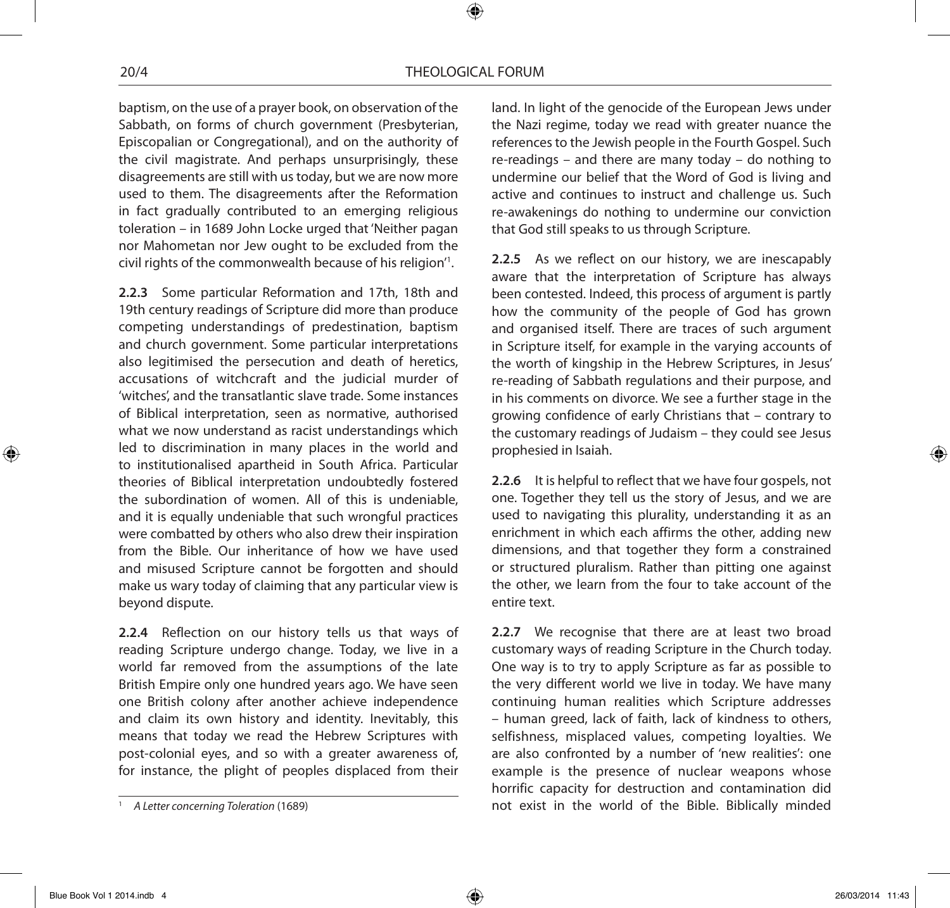baptism, on the use of a prayer book, on observation of the Sabbath, on forms of church government (Presbyterian, Episcopalian or Congregational), and on the authority of the civil magistrate. And perhaps unsurprisingly, these disagreements are still with us today, but we are now more used to them. The disagreements after the Reformation in fact gradually contributed to an emerging religious toleration – in 1689 John Locke urged that 'Neither pagan nor Mahometan nor Jew ought to be excluded from the civil rights of the commonwealth because of his religion'1 .

**2.2.3** Some particular Reformation and 17th, 18th and 19th century readings of Scripture did more than produce competing understandings of predestination, baptism and church government. Some particular interpretations also legitimised the persecution and death of heretics, accusations of witchcraft and the judicial murder of 'witches', and the transatlantic slave trade. Some instances of Biblical interpretation, seen as normative, authorised what we now understand as racist understandings which led to discrimination in many places in the world and to institutionalised apartheid in South Africa. Particular theories of Biblical interpretation undoubtedly fostered the subordination of women. All of this is undeniable, and it is equally undeniable that such wrongful practices were combatted by others who also drew their inspiration from the Bible. Our inheritance of how we have used and misused Scripture cannot be forgotten and should make us wary today of claiming that any particular view is beyond dispute.

**2.2.4** Reflection on our history tells us that ways of reading Scripture undergo change. Today, we live in a world far removed from the assumptions of the late British Empire only one hundred years ago. We have seen one British colony after another achieve independence and claim its own history and identity. Inevitably, this means that today we read the Hebrew Scriptures with post-colonial eyes, and so with a greater awareness of, for instance, the plight of peoples displaced from their

land. In light of the genocide of the European Jews under the Nazi regime, today we read with greater nuance the references to the Jewish people in the Fourth Gospel. Such re-readings – and there are many today – do nothing to undermine our belief that the Word of God is living and active and continues to instruct and challenge us. Such re-awakenings do nothing to undermine our conviction that God still speaks to us through Scripture.

**2.2.5** As we reflect on our history, we are inescapably aware that the interpretation of Scripture has always been contested. Indeed, this process of argument is partly how the community of the people of God has grown and organised itself. There are traces of such argument in Scripture itself, for example in the varying accounts of the worth of kingship in the Hebrew Scriptures, in Jesus' re-reading of Sabbath regulations and their purpose, and in his comments on divorce. We see a further stage in the growing confidence of early Christians that – contrary to the customary readings of Judaism – they could see Jesus prophesied in Isaiah.

**2.2.6** It is helpful to reflect that we have four gospels, not one. Together they tell us the story of Jesus, and we are used to navigating this plurality, understanding it as an enrichment in which each affirms the other, adding new dimensions, and that together they form a constrained or structured pluralism. Rather than pitting one against the other, we learn from the four to take account of the entire text.

**2.2.7** We recognise that there are at least two broad customary ways of reading Scripture in the Church today. One way is to try to apply Scripture as far as possible to the very different world we live in today. We have many continuing human realities which Scripture addresses – human greed, lack of faith, lack of kindness to others, selfishness, misplaced values, competing loyalties. We are also confronted by a number of 'new realities': one example is the presence of nuclear weapons whose horrific capacity for destruction and contamination did not exist in the world of the Bible. Biblically minded

Blue Book Vol 1 2014.indb  $4$  26/03/2014 11:43

<sup>1</sup> *A Letter concerning Toleration* (1689)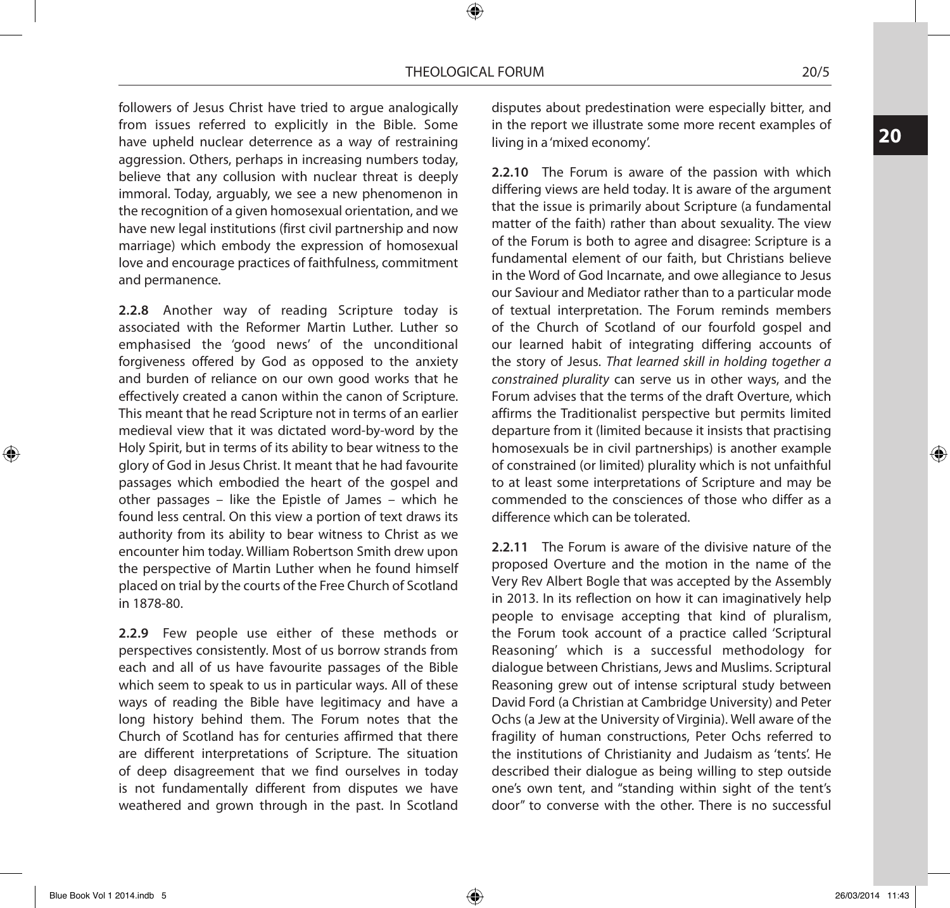followers of Jesus Christ have tried to argue analogically from issues referred to explicitly in the Bible. Some have upheld nuclear deterrence as a way of restraining aggression. Others, perhaps in increasing numbers today, believe that any collusion with nuclear threat is deeply immoral. Today, arguably, we see a new phenomenon in the recognition of a given homosexual orientation, and we have new legal institutions (first civil partnership and now marriage) which embody the expression of homosexual love and encourage practices of faithfulness, commitment and permanence.

**2.2.8** Another way of reading Scripture today is associated with the Reformer Martin Luther. Luther so emphasised the 'good news' of the unconditional forgiveness offered by God as opposed to the anxiety and burden of reliance on our own good works that he effectively created a canon within the canon of Scripture. This meant that he read Scripture not in terms of an earlier medieval view that it was dictated word-by-word by the Holy Spirit, but in terms of its ability to bear witness to the glory of God in Jesus Christ. It meant that he had favourite passages which embodied the heart of the gospel and other passages – like the Epistle of James – which he found less central. On this view a portion of text draws its authority from its ability to bear witness to Christ as we encounter him today. William Robertson Smith drew upon the perspective of Martin Luther when he found himself placed on trial by the courts of the Free Church of Scotland in 1878-80.

**2.2.9** Few people use either of these methods or perspectives consistently. Most of us borrow strands from each and all of us have favourite passages of the Bible which seem to speak to us in particular ways. All of these ways of reading the Bible have legitimacy and have a long history behind them. The Forum notes that the Church of Scotland has for centuries affirmed that there are different interpretations of Scripture. The situation of deep disagreement that we find ourselves in today is not fundamentally different from disputes we have weathered and grown through in the past. In Scotland disputes about predestination were especially bitter, and in the report we illustrate some more recent examples of living in a 'mixed economy'.

**2.2.10** The Forum is aware of the passion with which differing views are held today. It is aware of the argument that the issue is primarily about Scripture (a fundamental matter of the faith) rather than about sexuality. The view of the Forum is both to agree and disagree: Scripture is a fundamental element of our faith, but Christians believe in the Word of God Incarnate, and owe allegiance to Jesus our Saviour and Mediator rather than to a particular mode of textual interpretation. The Forum reminds members of the Church of Scotland of our fourfold gospel and our learned habit of integrating differing accounts of the story of Jesus. *That learned skill in holding together a constrained plurality* can serve us in other ways, and the Forum advises that the terms of the draft Overture, which affirms the Traditionalist perspective but permits limited departure from it (limited because it insists that practising homosexuals be in civil partnerships) is another example of constrained (or limited) plurality which is not unfaithful to at least some interpretations of Scripture and may be commended to the consciences of those who differ as a difference which can be tolerated.

**2.2.11** The Forum is aware of the divisive nature of the proposed Overture and the motion in the name of the Very Rev Albert Bogle that was accepted by the Assembly in 2013. In its reflection on how it can imaginatively help people to envisage accepting that kind of pluralism, the Forum took account of a practice called 'Scriptural Reasoning' which is a successful methodology for dialogue between Christians, Jews and Muslims. Scriptural Reasoning grew out of intense scriptural study between David Ford (a Christian at Cambridge University) and Peter Ochs (a Jew at the University of Virginia). Well aware of the fragility of human constructions, Peter Ochs referred to the institutions of Christianity and Judaism as 'tents'. He described their dialogue as being willing to step outside one's own tent, and "standing within sight of the tent's door" to converse with the other. There is no successful **20**

⊕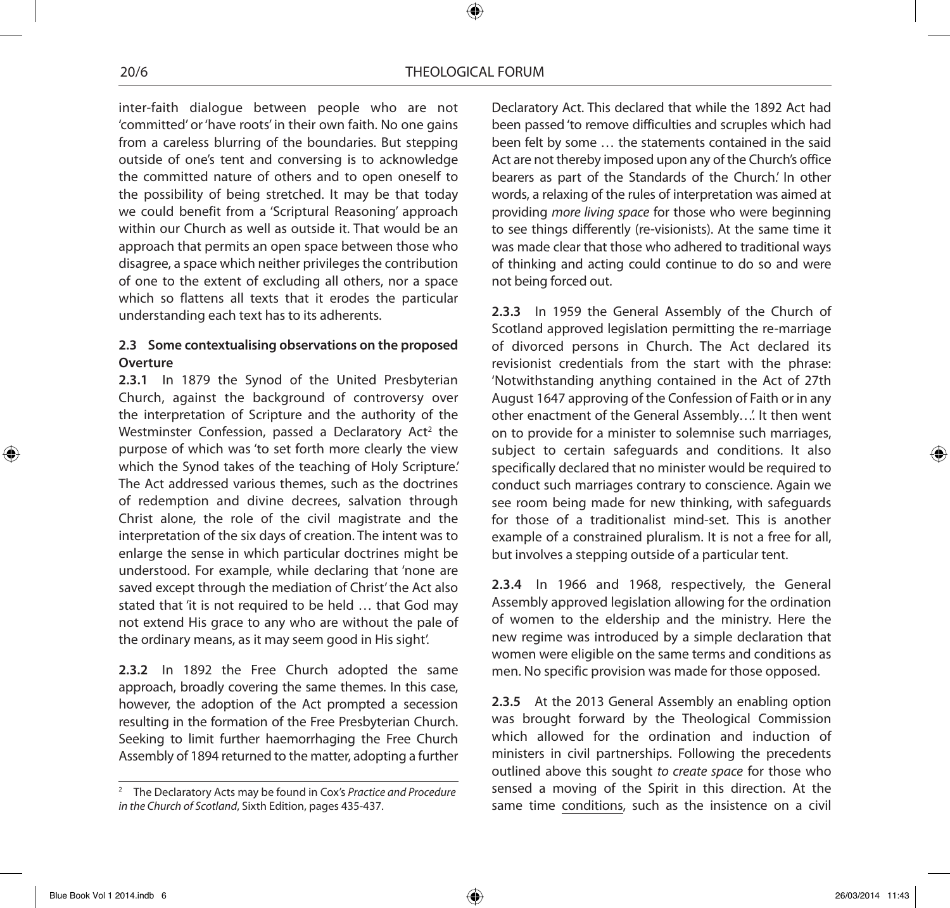inter-faith dialogue between people who are not 'committed' or 'have roots' in their own faith. No one gains from a careless blurring of the boundaries. But stepping outside of one's tent and conversing is to acknowledge the committed nature of others and to open oneself to the possibility of being stretched. It may be that today we could benefit from a 'Scriptural Reasoning' approach within our Church as well as outside it. That would be an approach that permits an open space between those who disagree, a space which neither privileges the contribution of one to the extent of excluding all others, nor a space which so flattens all texts that it erodes the particular understanding each text has to its adherents.

## **2.3 Some contextualising observations on the proposed Overture**

**2.3.1** In 1879 the Synod of the United Presbyterian Church, against the background of controversy over the interpretation of Scripture and the authority of the Westminster Confession, passed a Declaratory Act<sup>2</sup> the purpose of which was 'to set forth more clearly the view which the Synod takes of the teaching of Holy Scripture.' The Act addressed various themes, such as the doctrines of redemption and divine decrees, salvation through Christ alone, the role of the civil magistrate and the interpretation of the six days of creation. The intent was to enlarge the sense in which particular doctrines might be understood. For example, while declaring that 'none are saved except through the mediation of Christ' the Act also stated that 'it is not required to be held … that God may not extend His grace to any who are without the pale of the ordinary means, as it may seem good in His sight'.

**2.3.2** In 1892 the Free Church adopted the same approach, broadly covering the same themes. In this case, however, the adoption of the Act prompted a secession resulting in the formation of the Free Presbyterian Church. Seeking to limit further haemorrhaging the Free Church Assembly of 1894 returned to the matter, adopting a further

Declaratory Act. This declared that while the 1892 Act had been passed 'to remove difficulties and scruples which had been felt by some … the statements contained in the said Act are not thereby imposed upon any of the Church's office bearers as part of the Standards of the Church.' In other words, a relaxing of the rules of interpretation was aimed at providing *more living space* for those who were beginning to see things differently (re-visionists). At the same time it was made clear that those who adhered to traditional ways of thinking and acting could continue to do so and were not being forced out.

**2.3.3** In 1959 the General Assembly of the Church of Scotland approved legislation permitting the re-marriage of divorced persons in Church. The Act declared its revisionist credentials from the start with the phrase: 'Notwithstanding anything contained in the Act of 27th August 1647 approving of the Confession of Faith or in any other enactment of the General Assembly…'. It then went on to provide for a minister to solemnise such marriages, subject to certain safeguards and conditions. It also specifically declared that no minister would be required to conduct such marriages contrary to conscience. Again we see room being made for new thinking, with safeguards for those of a traditionalist mind-set. This is another example of a constrained pluralism. It is not a free for all, but involves a stepping outside of a particular tent.

**2.3.4** In 1966 and 1968, respectively, the General Assembly approved legislation allowing for the ordination of women to the eldership and the ministry. Here the new regime was introduced by a simple declaration that women were eligible on the same terms and conditions as men. No specific provision was made for those opposed.

**2.3.5** At the 2013 General Assembly an enabling option was brought forward by the Theological Commission which allowed for the ordination and induction of ministers in civil partnerships. Following the precedents outlined above this sought *to create space* for those who sensed a moving of the Spirit in this direction. At the same time conditions, such as the insistence on a civil

<sup>2</sup> The Declaratory Acts may be found in Cox's *Practice and Procedure in the Church of Scotland*, Sixth Edition, pages 435-437.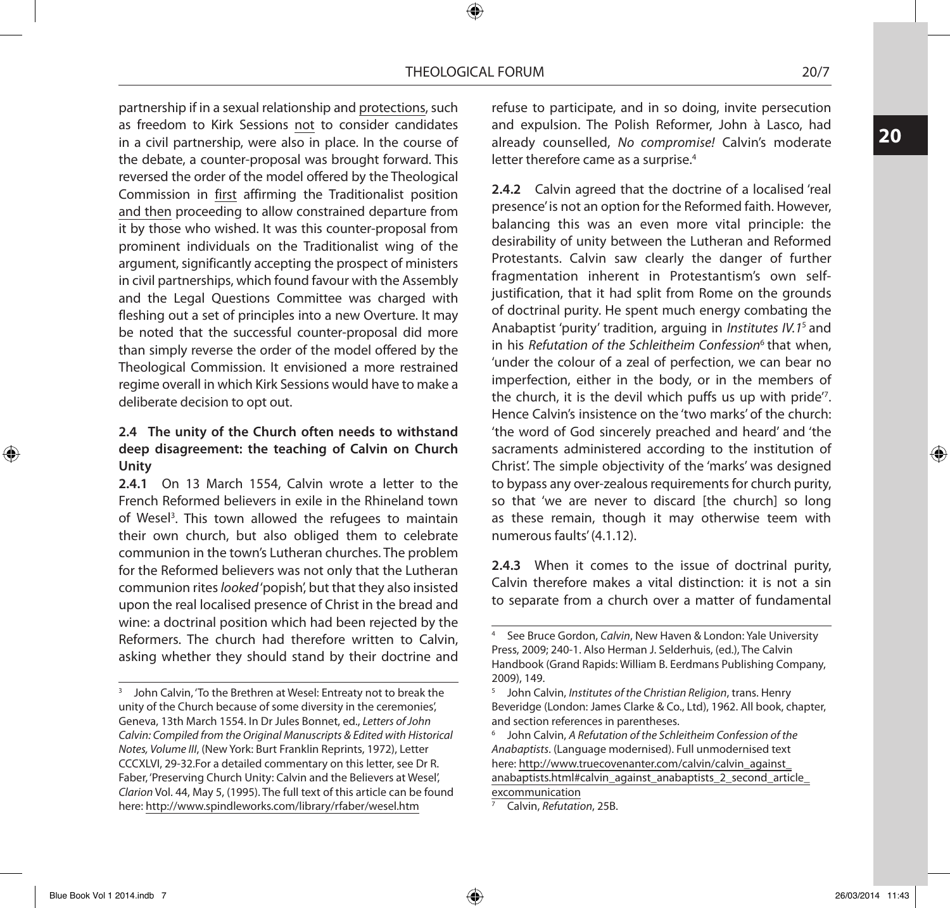partnership if in a sexual relationship and protections, such as freedom to Kirk Sessions not to consider candidates in a civil partnership, were also in place. In the course of the debate, a counter-proposal was brought forward. This reversed the order of the model offered by the Theological Commission in first affirming the Traditionalist position and then proceeding to allow constrained departure from it by those who wished. It was this counter-proposal from prominent individuals on the Traditionalist wing of the argument, significantly accepting the prospect of ministers in civil partnerships, which found favour with the Assembly and the Legal Questions Committee was charged with fleshing out a set of principles into a new Overture. It may be noted that the successful counter-proposal did more than simply reverse the order of the model offered by the Theological Commission. It envisioned a more restrained regime overall in which Kirk Sessions would have to make a deliberate decision to opt out.

## **2.4 The unity of the Church often needs to withstand deep disagreement: the teaching of Calvin on Church Unity**

**2.4.1** On 13 March 1554, Calvin wrote a letter to the French Reformed believers in exile in the Rhineland town of Wesel<sup>3</sup>. This town allowed the refugees to maintain their own church, but also obliged them to celebrate communion in the town's Lutheran churches. The problem for the Reformed believers was not only that the Lutheran communion rites *looked* 'popish', but that they also insisted upon the real localised presence of Christ in the bread and wine: a doctrinal position which had been rejected by the Reformers. The church had therefore written to Calvin, asking whether they should stand by their doctrine and

refuse to participate, and in so doing, invite persecution and expulsion. The Polish Reformer, John à Lasco, had already counselled, *No compromise!* Calvin's moderate letter therefore came as a surprise.<sup>4</sup>

**2.4.2** Calvin agreed that the doctrine of a localised 'real presence' is not an option for the Reformed faith. However, balancing this was an even more vital principle: the desirability of unity between the Lutheran and Reformed Protestants. Calvin saw clearly the danger of further fragmentation inherent in Protestantism's own selfjustification, that it had split from Rome on the grounds of doctrinal purity. He spent much energy combating the Anabaptist 'purity' tradition, arguing in *Institutes IV.1*5 and in his *Refutation of the Schleitheim Confession<sup>6</sup> that when,* 'under the colour of a zeal of perfection, we can bear no imperfection, either in the body, or in the members of the church, it is the devil which puffs us up with pride'7 . Hence Calvin's insistence on the 'two marks' of the church: 'the word of God sincerely preached and heard' and 'the sacraments administered according to the institution of Christ'. The simple objectivity of the 'marks' was designed to bypass any over-zealous requirements for church purity, so that 'we are never to discard [the church] so long as these remain, though it may otherwise teem with numerous faults' (4.1.12).

**2.4.3** When it comes to the issue of doctrinal purity, Calvin therefore makes a vital distinction: it is not a sin to separate from a church over a matter of fundamental

excommunication <sup>7</sup> Calvin, *Refutation*, 25B.

⊕

<sup>&</sup>lt;sup>3</sup> John Calvin, 'To the Brethren at Wesel: Entreaty not to break the unity of the Church because of some diversity in the ceremonies', Geneva, 13th March 1554. In Dr Jules Bonnet, ed., *Letters of John Calvin: Compiled from the Original Manuscripts & Edited with Historical Notes, Volume III*, (New York: Burt Franklin Reprints, 1972), Letter CCCXLVI, 29-32.For a detailed commentary on this letter, see Dr R. Faber, 'Preserving Church Unity: Calvin and the Believers at Wesel', *Clarion* Vol. 44, May 5, (1995). The full text of this article can be found here: http://www.spindleworks.com/library/rfaber/wesel.htm

<sup>4</sup> See Bruce Gordon, *Calvin*, New Haven & London: Yale University Press, 2009; 240-1. Also Herman J. Selderhuis, (ed.), The Calvin Handbook (Grand Rapids: William B. Eerdmans Publishing Company, 2009), 149.

<sup>5</sup> John Calvin, *Institutes of the Christian Religion*, trans. Henry Beveridge (London: James Clarke & Co., Ltd), 1962. All book, chapter, and section references in parentheses.

<sup>6</sup> John Calvin, *A Refutation of the Schleitheim Confession of the Anabaptists*. (Language modernised). Full unmodernised text here: http://www.truecovenanter.com/calvin/calvin\_against\_ anabaptists.html#calvin\_against\_anabaptists\_2\_second\_article\_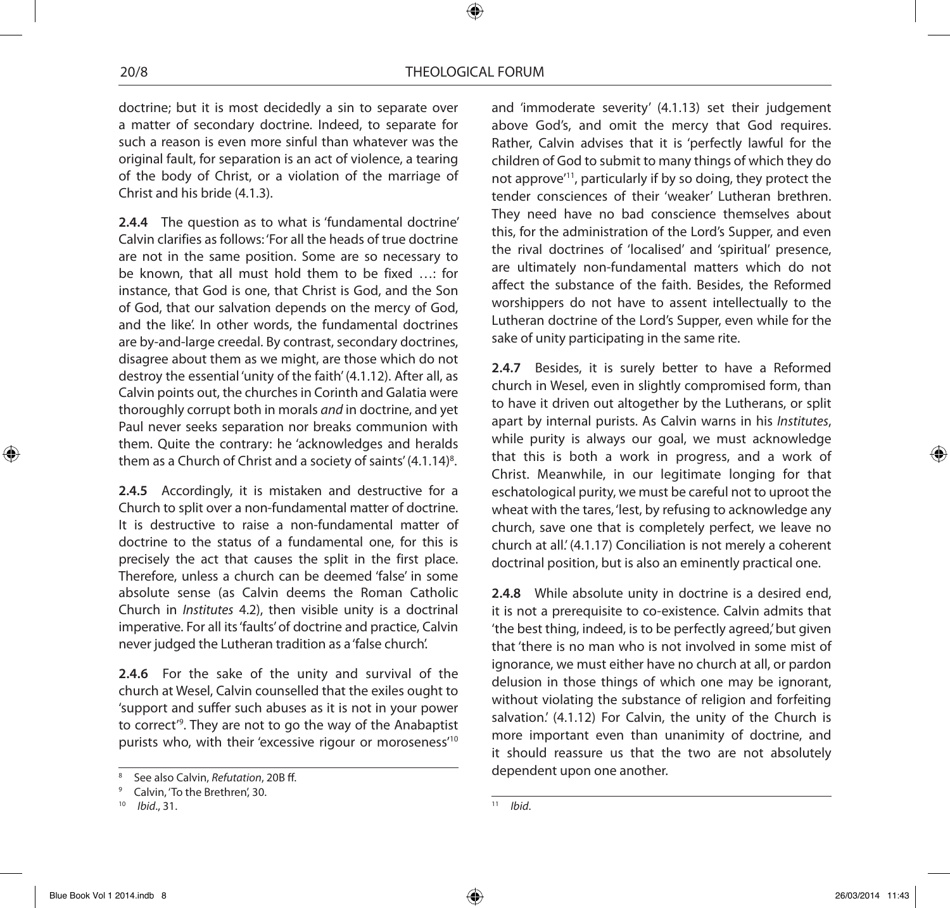doctrine; but it is most decidedly a sin to separate over a matter of secondary doctrine. Indeed, to separate for such a reason is even more sinful than whatever was the original fault, for separation is an act of violence, a tearing of the body of Christ, or a violation of the marriage of Christ and his bride (4.1.3).

**2.4.4** The question as to what is 'fundamental doctrine' Calvin clarifies as follows: 'For all the heads of true doctrine are not in the same position. Some are so necessary to be known, that all must hold them to be fixed …: for instance, that God is one, that Christ is God, and the Son of God, that our salvation depends on the mercy of God, and the like'. In other words, the fundamental doctrines are by-and-large creedal. By contrast, secondary doctrines, disagree about them as we might, are those which do not destroy the essential 'unity of the faith' (4.1.12). After all, as Calvin points out, the churches in Corinth and Galatia were thoroughly corrupt both in morals *and* in doctrine, and yet Paul never seeks separation nor breaks communion with them. Quite the contrary: he 'acknowledges and heralds them as a Church of Christ and a society of saints' (4.1.14)<sup>8</sup>.

**2.4.5** Accordingly, it is mistaken and destructive for a Church to split over a non-fundamental matter of doctrine. It is destructive to raise a non-fundamental matter of doctrine to the status of a fundamental one, for this is precisely the act that causes the split in the first place. Therefore, unless a church can be deemed 'false' in some absolute sense (as Calvin deems the Roman Catholic Church in *Institutes* 4.2), then visible unity is a doctrinal imperative. For all its 'faults' of doctrine and practice, Calvin never judged the Lutheran tradition as a 'false church'.

**2.4.6** For the sake of the unity and survival of the church at Wesel, Calvin counselled that the exiles ought to 'support and suffer such abuses as it is not in your power to correct'9 . They are not to go the way of the Anabaptist purists who, with their 'excessive rigour or moroseness'10

and 'immoderate severity' (4.1.13) set their judgement above God's, and omit the mercy that God requires. Rather, Calvin advises that it is 'perfectly lawful for the children of God to submit to many things of which they do not approve'11, particularly if by so doing, they protect the tender consciences of their 'weaker' Lutheran brethren. They need have no bad conscience themselves about this, for the administration of the Lord's Supper, and even the rival doctrines of 'localised' and 'spiritual' presence, are ultimately non-fundamental matters which do not affect the substance of the faith. Besides, the Reformed worshippers do not have to assent intellectually to the Lutheran doctrine of the Lord's Supper, even while for the sake of unity participating in the same rite.

**2.4.7** Besides, it is surely better to have a Reformed church in Wesel, even in slightly compromised form, than to have it driven out altogether by the Lutherans, or split apart by internal purists. As Calvin warns in his *Institutes*, while purity is always our goal, we must acknowledge that this is both a work in progress, and a work of Christ. Meanwhile, in our legitimate longing for that eschatological purity, we must be careful not to uproot the wheat with the tares, 'lest, by refusing to acknowledge any church, save one that is completely perfect, we leave no church at all.' (4.1.17) Conciliation is not merely a coherent doctrinal position, but is also an eminently practical one.

**2.4.8** While absolute unity in doctrine is a desired end, it is not a prerequisite to co-existence. Calvin admits that 'the best thing, indeed, is to be perfectly agreed,' but given that 'there is no man who is not involved in some mist of ignorance, we must either have no church at all, or pardon delusion in those things of which one may be ignorant, without violating the substance of religion and forfeiting salvation.' (4.1.12) For Calvin, the unity of the Church is more important even than unanimity of doctrine, and it should reassure us that the two are not absolutely dependent upon one another.

<sup>11</sup> *Ibid*.

<sup>8</sup> See also Calvin, *Refutation*, 20B ff.

<sup>9</sup> Calvin, 'To the Brethren', 30.

<sup>10</sup> *Ibid*., 31.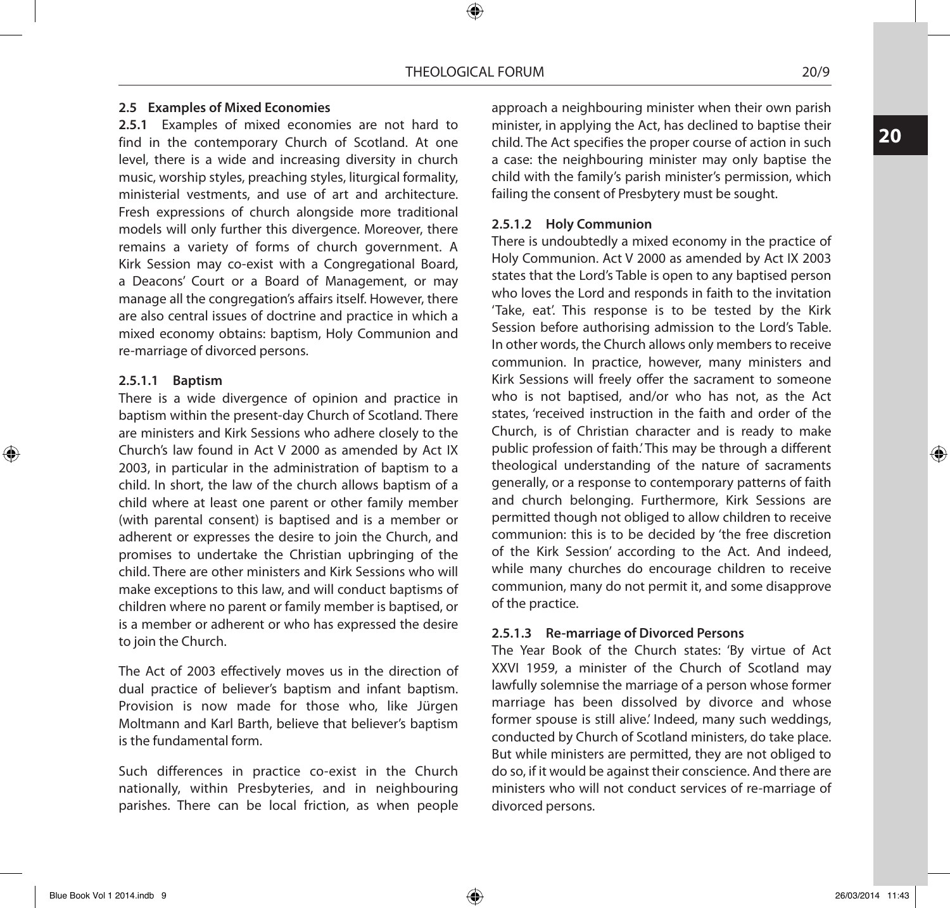#### **2.5 Examples of Mixed Economies**

**2.5.1** Examples of mixed economies are not hard to find in the contemporary Church of Scotland. At one level, there is a wide and increasing diversity in church music, worship styles, preaching styles, liturgical formality, ministerial vestments, and use of art and architecture. Fresh expressions of church alongside more traditional models will only further this divergence. Moreover, there remains a variety of forms of church government. A Kirk Session may co-exist with a Congregational Board, a Deacons' Court or a Board of Management, or may manage all the congregation's affairs itself. However, there are also central issues of doctrine and practice in which a mixed economy obtains: baptism, Holy Communion and re-marriage of divorced persons.

#### **2.5.1.1 Baptism**

⊕

There is a wide divergence of opinion and practice in baptism within the present-day Church of Scotland. There are ministers and Kirk Sessions who adhere closely to the Church's law found in Act V 2000 as amended by Act IX 2003, in particular in the administration of baptism to a child. In short, the law of the church allows baptism of a child where at least one parent or other family member (with parental consent) is baptised and is a member or adherent or expresses the desire to join the Church, and promises to undertake the Christian upbringing of the child. There are other ministers and Kirk Sessions who will make exceptions to this law, and will conduct baptisms of children where no parent or family member is baptised, or is a member or adherent or who has expressed the desire to join the Church.

The Act of 2003 effectively moves us in the direction of dual practice of believer's baptism and infant baptism. Provision is now made for those who, like Jürgen Moltmann and Karl Barth, believe that believer's baptism is the fundamental form.

Such differences in practice co-exist in the Church nationally, within Presbyteries, and in neighbouring parishes. There can be local friction, as when people

approach a neighbouring minister when their own parish minister, in applying the Act, has declined to baptise their child. The Act specifies the proper course of action in such a case: the neighbouring minister may only baptise the child with the family's parish minister's permission, which failing the consent of Presbytery must be sought.

#### **2.5.1.2 Holy Communion**

There is undoubtedly a mixed economy in the practice of Holy Communion. Act V 2000 as amended by Act IX 2003 states that the Lord's Table is open to any baptised person who loves the Lord and responds in faith to the invitation 'Take, eat'. This response is to be tested by the Kirk Session before authorising admission to the Lord's Table. In other words, the Church allows only members to receive communion. In practice, however, many ministers and Kirk Sessions will freely offer the sacrament to someone who is not baptised, and/or who has not, as the Act states, 'received instruction in the faith and order of the Church, is of Christian character and is ready to make public profession of faith.' This may be through a different theological understanding of the nature of sacraments generally, or a response to contemporary patterns of faith and church belonging. Furthermore, Kirk Sessions are permitted though not obliged to allow children to receive communion: this is to be decided by 'the free discretion of the Kirk Session' according to the Act. And indeed, while many churches do encourage children to receive communion, many do not permit it, and some disapprove of the practice.

## **2.5.1.3 Re-marriage of Divorced Persons**

The Year Book of the Church states: 'By virtue of Act XXVI 1959, a minister of the Church of Scotland may lawfully solemnise the marriage of a person whose former marriage has been dissolved by divorce and whose former spouse is still alive.' Indeed, many such weddings, conducted by Church of Scotland ministers, do take place. But while ministers are permitted, they are not obliged to do so, if it would be against their conscience. And there are ministers who will not conduct services of re-marriage of divorced persons.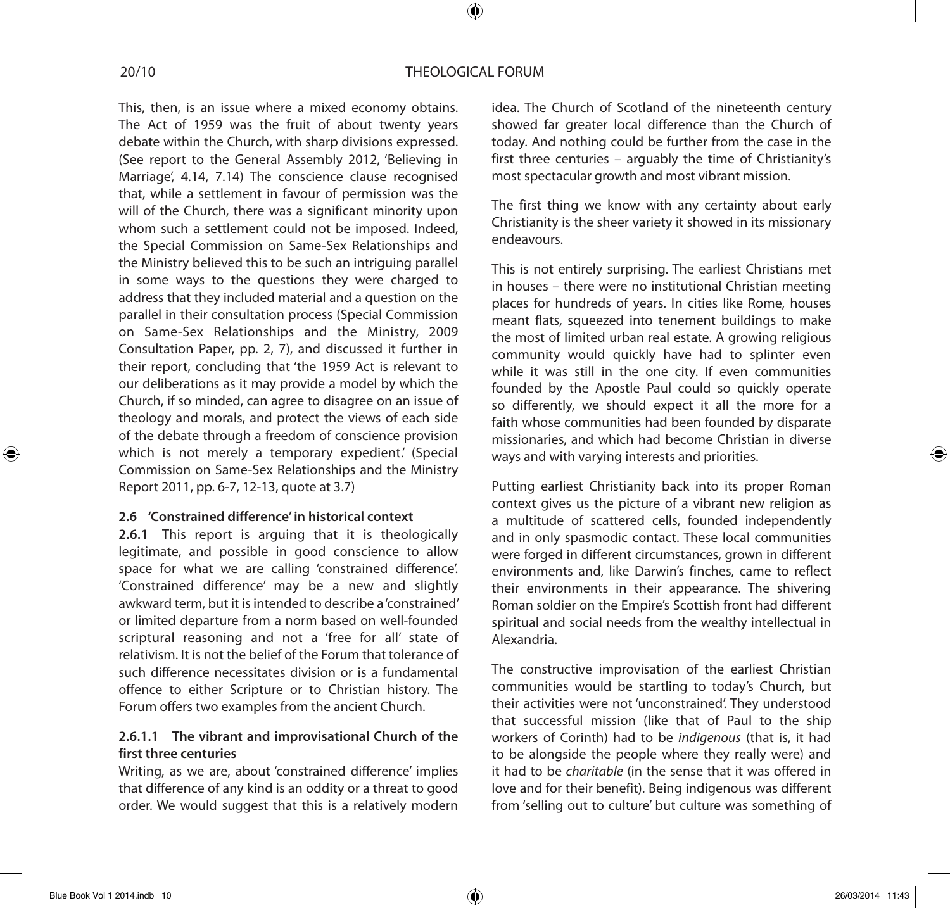This, then, is an issue where a mixed economy obtains. The Act of 1959 was the fruit of about twenty years debate within the Church, with sharp divisions expressed. (See report to the General Assembly 2012, 'Believing in Marriage', 4.14, 7.14) The conscience clause recognised that, while a settlement in favour of permission was the will of the Church, there was a significant minority upon whom such a settlement could not be imposed. Indeed, the Special Commission on Same-Sex Relationships and the Ministry believed this to be such an intriguing parallel in some ways to the questions they were charged to address that they included material and a question on the parallel in their consultation process (Special Commission on Same-Sex Relationships and the Ministry, 2009 Consultation Paper, pp. 2, 7), and discussed it further in their report, concluding that 'the 1959 Act is relevant to our deliberations as it may provide a model by which the Church, if so minded, can agree to disagree on an issue of theology and morals, and protect the views of each side of the debate through a freedom of conscience provision which is not merely a temporary expedient.' (Special Commission on Same-Sex Relationships and the Ministry Report 2011, pp. 6-7, 12-13, quote at 3.7)

#### **2.6 'Constrained difference' in historical context**

**2.6.1** This report is arguing that it is theologically legitimate, and possible in good conscience to allow space for what we are calling 'constrained difference'. 'Constrained difference' may be a new and slightly awkward term, but it is intended to describe a 'constrained' or limited departure from a norm based on well-founded scriptural reasoning and not a 'free for all' state of relativism. It is not the belief of the Forum that tolerance of such difference necessitates division or is a fundamental offence to either Scripture or to Christian history. The Forum offers two examples from the ancient Church.

## **2.6.1.1 The vibrant and improvisational Church of the first three centuries**

Writing, as we are, about 'constrained difference' implies that difference of any kind is an oddity or a threat to good order. We would suggest that this is a relatively modern

idea. The Church of Scotland of the nineteenth century showed far greater local difference than the Church of today. And nothing could be further from the case in the first three centuries – arguably the time of Christianity's most spectacular growth and most vibrant mission.

The first thing we know with any certainty about early Christianity is the sheer variety it showed in its missionary endeavours.

This is not entirely surprising. The earliest Christians met in houses – there were no institutional Christian meeting places for hundreds of years. In cities like Rome, houses meant flats, squeezed into tenement buildings to make the most of limited urban real estate. A growing religious community would quickly have had to splinter even while it was still in the one city. If even communities founded by the Apostle Paul could so quickly operate so differently, we should expect it all the more for a faith whose communities had been founded by disparate missionaries, and which had become Christian in diverse ways and with varying interests and priorities.

Putting earliest Christianity back into its proper Roman context gives us the picture of a vibrant new religion as a multitude of scattered cells, founded independently and in only spasmodic contact. These local communities were forged in different circumstances, grown in different environments and, like Darwin's finches, came to reflect their environments in their appearance. The shivering Roman soldier on the Empire's Scottish front had different spiritual and social needs from the wealthy intellectual in Alexandria.

The constructive improvisation of the earliest Christian communities would be startling to today's Church, but their activities were not 'unconstrained'. They understood that successful mission (like that of Paul to the ship workers of Corinth) had to be *indigenous* (that is, it had to be alongside the people where they really were) and it had to be *charitable* (in the sense that it was offered in love and for their benefit). Being indigenous was different from 'selling out to culture' but culture was something of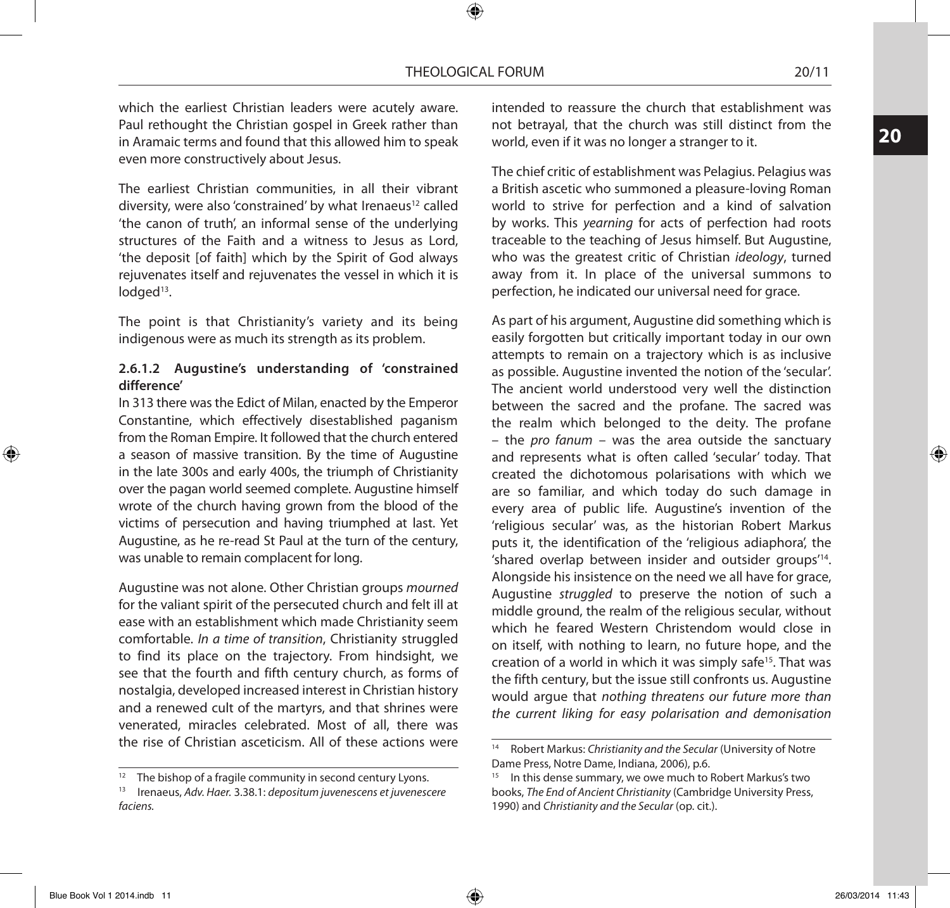**20**

⊕

which the earliest Christian leaders were acutely aware. Paul rethought the Christian gospel in Greek rather than in Aramaic terms and found that this allowed him to speak even more constructively about Jesus.

The earliest Christian communities, in all their vibrant diversity, were also 'constrained' by what Irenaeus<sup>12</sup> called 'the canon of truth', an informal sense of the underlying structures of the Faith and a witness to Jesus as Lord, 'the deposit [of faith] which by the Spirit of God always rejuvenates itself and rejuvenates the vessel in which it is lodged<sup>13</sup>.

The point is that Christianity's variety and its being indigenous were as much its strength as its problem.

## **2.6.1.2 Augustine's understanding of 'constrained difference'**

In 313 there was the Edict of Milan, enacted by the Emperor Constantine, which effectively disestablished paganism from the Roman Empire. It followed that the church entered a season of massive transition. By the time of Augustine in the late 300s and early 400s, the triumph of Christianity over the pagan world seemed complete. Augustine himself wrote of the church having grown from the blood of the victims of persecution and having triumphed at last. Yet Augustine, as he re-read St Paul at the turn of the century, was unable to remain complacent for long.

Augustine was not alone. Other Christian groups *mourned*  for the valiant spirit of the persecuted church and felt ill at ease with an establishment which made Christianity seem comfortable. *In a time of transition*, Christianity struggled to find its place on the trajectory. From hindsight, we see that the fourth and fifth century church, as forms of nostalgia, developed increased interest in Christian history and a renewed cult of the martyrs, and that shrines were venerated, miracles celebrated. Most of all, there was the rise of Christian asceticism. All of these actions were

intended to reassure the church that establishment was not betrayal, that the church was still distinct from the world, even if it was no longer a stranger to it.

The chief critic of establishment was Pelagius. Pelagius was a British ascetic who summoned a pleasure-loving Roman world to strive for perfection and a kind of salvation by works. This *yearning* for acts of perfection had roots traceable to the teaching of Jesus himself. But Augustine, who was the greatest critic of Christian *ideology*, turned away from it. In place of the universal summons to perfection, he indicated our universal need for grace.

As part of his argument, Augustine did something which is easily forgotten but critically important today in our own attempts to remain on a trajectory which is as inclusive as possible. Augustine invented the notion of the 'secular'. The ancient world understood very well the distinction between the sacred and the profane. The sacred was the realm which belonged to the deity. The profane – the *pro fanum* – was the area outside the sanctuary and represents what is often called 'secular' today. That created the dichotomous polarisations with which we are so familiar, and which today do such damage in every area of public life. Augustine's invention of the 'religious secular' was, as the historian Robert Markus puts it, the identification of the 'religious adiaphora', the 'shared overlap between insider and outsider groups'14. Alongside his insistence on the need we all have for grace, Augustine *struggled* to preserve the notion of such a middle ground, the realm of the religious secular, without which he feared Western Christendom would close in on itself, with nothing to learn, no future hope, and the creation of a world in which it was simply safe<sup>15</sup>. That was the fifth century, but the issue still confronts us. Augustine would argue that *nothing threatens our future more than the current liking for easy polarisation and demonisation* 

<sup>12</sup> The bishop of a fragile community in second century Lyons. 13 Irenaeus, *Adv. Haer.* 3.38.1: *depositum juvenescens et juvenescere faciens.*

<sup>14</sup> Robert Markus: *Christianity and the Secular* (University of Notre Dame Press, Notre Dame, Indiana, 2006), p.6.

<sup>&</sup>lt;sup>15</sup> In this dense summary, we owe much to Robert Markus's two books, *The End of Ancient Christianity* (Cambridge University Press, 1990) and *Christianity and the Secular* (op. cit.).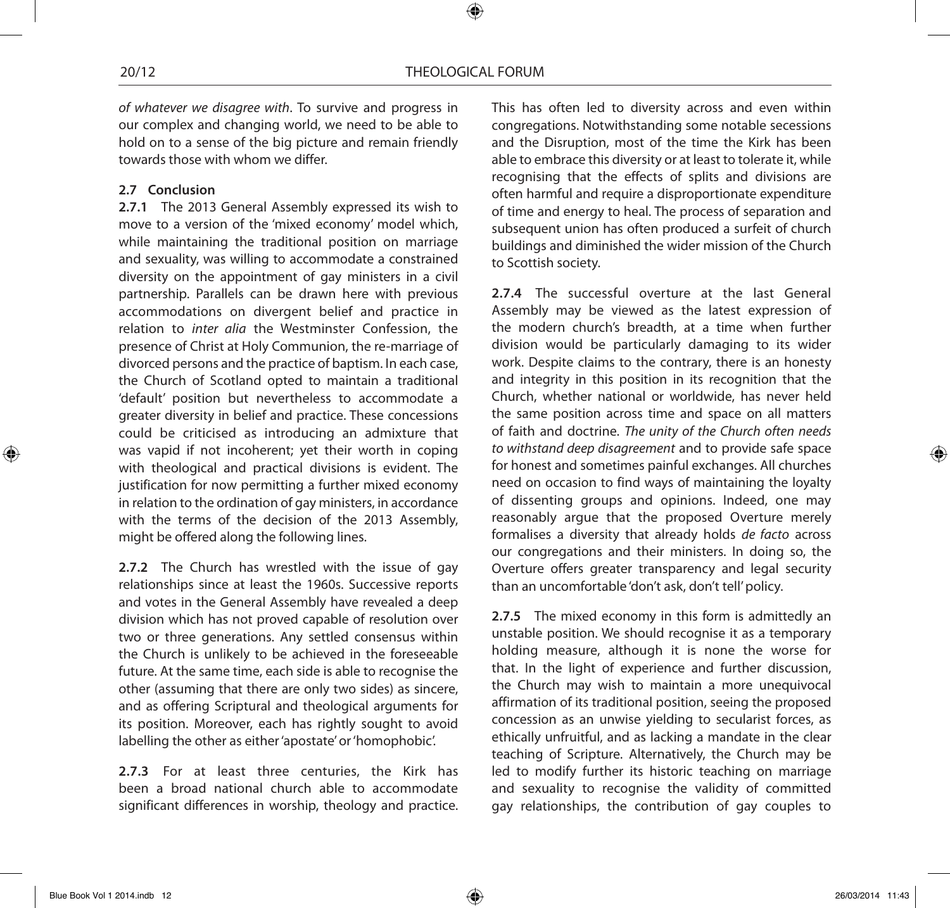*of whatever we disagree with*. To survive and progress in our complex and changing world, we need to be able to hold on to a sense of the big picture and remain friendly towards those with whom we differ.

## **2.7 Conclusion**

**2.7.1** The 2013 General Assembly expressed its wish to move to a version of the 'mixed economy' model which, while maintaining the traditional position on marriage and sexuality, was willing to accommodate a constrained diversity on the appointment of gay ministers in a civil partnership. Parallels can be drawn here with previous accommodations on divergent belief and practice in relation to *inter alia* the Westminster Confession, the presence of Christ at Holy Communion, the re-marriage of divorced persons and the practice of baptism. In each case, the Church of Scotland opted to maintain a traditional 'default' position but nevertheless to accommodate a greater diversity in belief and practice. These concessions could be criticised as introducing an admixture that was vapid if not incoherent; yet their worth in coping with theological and practical divisions is evident. The justification for now permitting a further mixed economy in relation to the ordination of gay ministers, in accordance with the terms of the decision of the 2013 Assembly, might be offered along the following lines.

**2.7.2** The Church has wrestled with the issue of gay relationships since at least the 1960s. Successive reports and votes in the General Assembly have revealed a deep division which has not proved capable of resolution over two or three generations. Any settled consensus within the Church is unlikely to be achieved in the foreseeable future. At the same time, each side is able to recognise the other (assuming that there are only two sides) as sincere, and as offering Scriptural and theological arguments for its position. Moreover, each has rightly sought to avoid labelling the other as either 'apostate' or 'homophobic'.

**2.7.3** For at least three centuries, the Kirk has been a broad national church able to accommodate significant differences in worship, theology and practice.

This has often led to diversity across and even within congregations. Notwithstanding some notable secessions and the Disruption, most of the time the Kirk has been able to embrace this diversity or at least to tolerate it, while recognising that the effects of splits and divisions are often harmful and require a disproportionate expenditure of time and energy to heal. The process of separation and subsequent union has often produced a surfeit of church buildings and diminished the wider mission of the Church to Scottish society.

**2.7.4** The successful overture at the last General Assembly may be viewed as the latest expression of the modern church's breadth, at a time when further division would be particularly damaging to its wider work. Despite claims to the contrary, there is an honesty and integrity in this position in its recognition that the Church, whether national or worldwide, has never held the same position across time and space on all matters of faith and doctrine. *The unity of the Church often needs to withstand deep disagreement* and to provide safe space for honest and sometimes painful exchanges. All churches need on occasion to find ways of maintaining the loyalty of dissenting groups and opinions. Indeed, one may reasonably argue that the proposed Overture merely formalises a diversity that already holds *de facto* across our congregations and their ministers. In doing so, the Overture offers greater transparency and legal security than an uncomfortable 'don't ask, don't tell' policy.

**2.7.5** The mixed economy in this form is admittedly an unstable position. We should recognise it as a temporary holding measure, although it is none the worse for that. In the light of experience and further discussion, the Church may wish to maintain a more unequivocal affirmation of its traditional position, seeing the proposed concession as an unwise yielding to secularist forces, as ethically unfruitful, and as lacking a mandate in the clear teaching of Scripture. Alternatively, the Church may be led to modify further its historic teaching on marriage and sexuality to recognise the validity of committed gay relationships, the contribution of gay couples to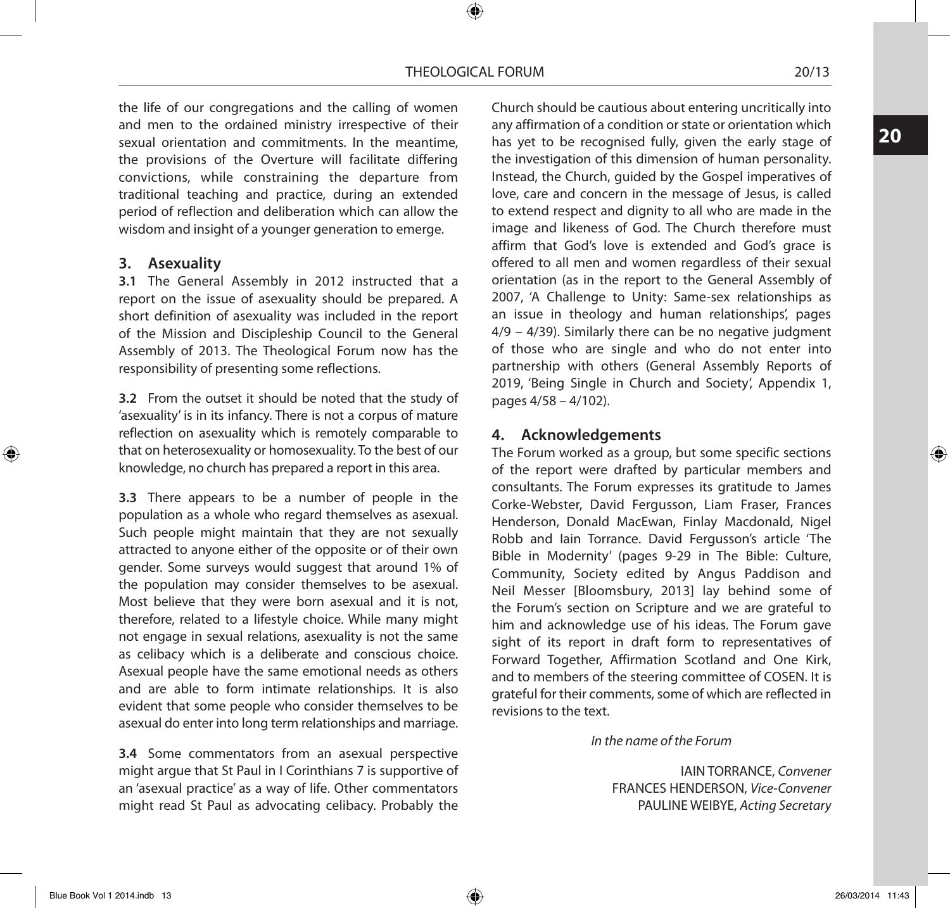the life of our congregations and the calling of women and men to the ordained ministry irrespective of their sexual orientation and commitments. In the meantime, the provisions of the Overture will facilitate differing convictions, while constraining the departure from traditional teaching and practice, during an extended period of reflection and deliberation which can allow the wisdom and insight of a younger generation to emerge.

#### **3. Asexuality**

**3.1** The General Assembly in 2012 instructed that a report on the issue of asexuality should be prepared. A short definition of asexuality was included in the report of the Mission and Discipleship Council to the General Assembly of 2013. The Theological Forum now has the responsibility of presenting some reflections.

**3.2** From the outset it should be noted that the study of 'asexuality' is in its infancy. There is not a corpus of mature reflection on asexuality which is remotely comparable to that on heterosexuality or homosexuality. To the best of our knowledge, no church has prepared a report in this area.

**3.3** There appears to be a number of people in the population as a whole who regard themselves as asexual. Such people might maintain that they are not sexually attracted to anyone either of the opposite or of their own gender. Some surveys would suggest that around 1% of the population may consider themselves to be asexual. Most believe that they were born asexual and it is not, therefore, related to a lifestyle choice. While many might not engage in sexual relations, asexuality is not the same as celibacy which is a deliberate and conscious choice. Asexual people have the same emotional needs as others and are able to form intimate relationships. It is also evident that some people who consider themselves to be asexual do enter into long term relationships and marriage.

**3.4** Some commentators from an asexual perspective might argue that St Paul in I Corinthians 7 is supportive of an 'asexual practice' as a way of life. Other commentators might read St Paul as advocating celibacy. Probably the

Church should be cautious about entering uncritically into any affirmation of a condition or state or orientation which has yet to be recognised fully, given the early stage of the investigation of this dimension of human personality. Instead, the Church, guided by the Gospel imperatives of love, care and concern in the message of Jesus, is called to extend respect and dignity to all who are made in the image and likeness of God. The Church therefore must affirm that God's love is extended and God's grace is offered to all men and women regardless of their sexual orientation (as in the report to the General Assembly of 2007, 'A Challenge to Unity: Same-sex relationships as an issue in theology and human relationships', pages 4/9 – 4/39). Similarly there can be no negative judgment of those who are single and who do not enter into partnership with others (General Assembly Reports of 2019, 'Being Single in Church and Society', Appendix 1, pages 4/58 – 4/102).

## **4. Acknowledgements**

The Forum worked as a group, but some specific sections of the report were drafted by particular members and consultants. The Forum expresses its gratitude to James Corke-Webster, David Fergusson, Liam Fraser, Frances Henderson, Donald MacEwan, Finlay Macdonald, Nigel Robb and Iain Torrance. David Fergusson's article 'The Bible in Modernity' (pages 9-29 in The Bible: Culture, Community, Society edited by Angus Paddison and Neil Messer [Bloomsbury, 2013] lay behind some of the Forum's section on Scripture and we are grateful to him and acknowledge use of his ideas. The Forum gave sight of its report in draft form to representatives of Forward Together, Affirmation Scotland and One Kirk, and to members of the steering committee of COSEN. It is grateful for their comments, some of which are reflected in revisions to the text.

#### *In the name of the Forum*

IAIN TORRANCE, *Convener* FRANCES HENDERSON, *Vice-Convener* PAULINE WEIBYE, *Acting Secretary* **20**

⊕